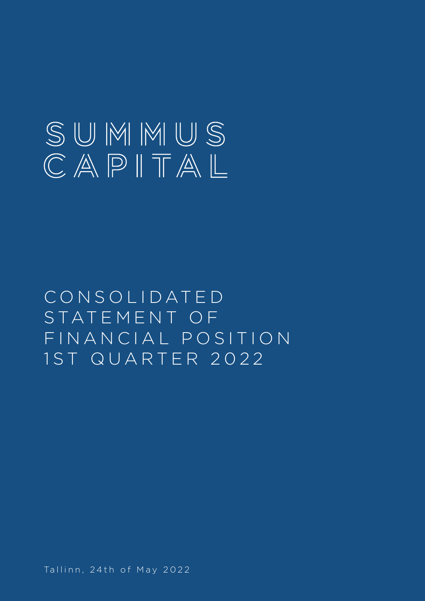# SUMMUS  $\mathbb{C}\mathbb{A}\mathbb{P}\mathbb{I}\mathbb{T}\mathbb{A}\mathbb{L}$

C O N S O L I D AT E D STATEMENT OF FINANCIAL POSITION 1 S T Q U A R T E R 2 0 2 2

Tallinn, 24th of May 2022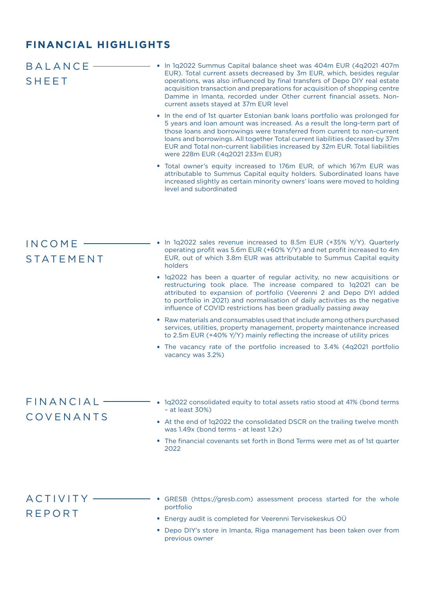#### **FINANCIAL HIGHLIGHTS**

| <b>BALANCE</b><br><b>SHEET</b> | In 1q2022 Summus Capital balance sheet was 404m EUR (4q2021 407m<br>EUR). Total current assets decreased by 3m EUR, which, besides regular<br>operations, was also influenced by final transfers of Depo DIY real estate<br>acquisition transaction and preparations for acquisition of shopping centre<br>Damme in Imanta, recorded under Other current financial assets. Non-<br>current assets stayed at 37m EUR level<br>• In the end of 1st quarter Estonian bank loans portfolio was prolonged for<br>5 years and loan amount was increased. As a result the long-term part of<br>those loans and borrowings were transferred from current to non-current<br>loans and borrowings. All together Total current liabilities decrased by 37m<br>EUR and Total non-current liabilities increased by 32m EUR. Total liabilities<br>were 228m EUR (4q2021 233m EUR)<br>• Total owner's equity increased to 176m EUR, of which 167m EUR was<br>attributable to Summus Capital equity holders. Subordinated loans have<br>increased slightly as certain minority owners' loans were moved to holding<br>level and subordinated |
|--------------------------------|------------------------------------------------------------------------------------------------------------------------------------------------------------------------------------------------------------------------------------------------------------------------------------------------------------------------------------------------------------------------------------------------------------------------------------------------------------------------------------------------------------------------------------------------------------------------------------------------------------------------------------------------------------------------------------------------------------------------------------------------------------------------------------------------------------------------------------------------------------------------------------------------------------------------------------------------------------------------------------------------------------------------------------------------------------------------------------------------------------------------------|
| INCOME<br><b>STATEMENT</b>     | In 1q2022 sales revenue increased to 8.5m EUR (+35% Y/Y). Quarterly<br>operating profit was 5.6m EUR (+60% Y/Y) and net profit increased to 4m<br>EUR, out of which 3.8m EUR was attributable to Summus Capital equity<br>holders<br>• 1q2022 has been a quarter of regular activity, no new acquisitions or<br>restructuring took place. The increase compared to 1q2021 can be<br>attributed to expansion of portfolio (Veerenni 2 and Depo DYI added<br>to portfolio in 2021) and normalisation of daily activities as the negative<br>influence of COVID restrictions has been gradually passing away<br>• Raw materials and consumables used that include among others purchased<br>services, utilities, property management, property maintenance increased<br>to 2.5m EUR (+40% Y/Y) mainly reflecting the increase of utility prices<br>• The vacancy rate of the portfolio increased to 3.4% (4q2021 portfolio<br>vacancy was 3.2%)                                                                                                                                                                                 |
| FINANCIAL<br>COVENANTS         | 1q2022 consolidated equity to total assets ratio stood at 41% (bond terms<br>$-$ at least 30%)<br>• At the end of 1q2022 the consolidated DSCR on the trailing twelve month<br>was 1.49x (bond terms - at least 1.2x)<br>• The financial covenants set forth in Bond Terms were met as of 1st quarter<br>2022                                                                                                                                                                                                                                                                                                                                                                                                                                                                                                                                                                                                                                                                                                                                                                                                                |
| ACTIVITY<br><b>REPORT</b>      | GRESB (https://gresb.com) assessment process started for the whole<br>portfolio<br>• Energy audit is completed for Veerenni Tervisekeskus OÜ<br>• Depo DIY's store in Imanta, Riga management has been taken over from<br>previous owner                                                                                                                                                                                                                                                                                                                                                                                                                                                                                                                                                                                                                                                                                                                                                                                                                                                                                     |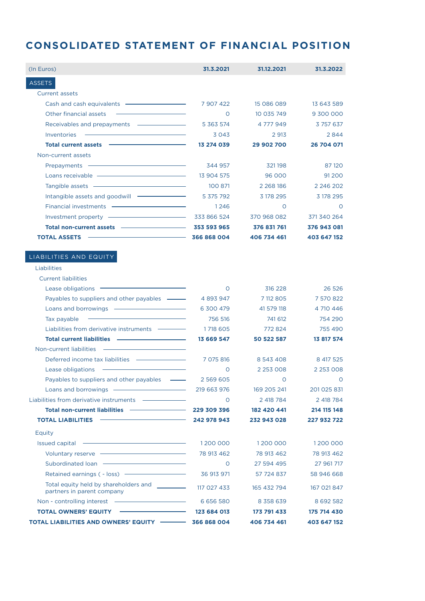## **CONSOLIDATED STATEMENT OF FINANCIAL POSITION**

| (In Euros)                                                                                                                                                                                                                           | 31.3.2021     | 31.12.2021    | 31.3.2022     |
|--------------------------------------------------------------------------------------------------------------------------------------------------------------------------------------------------------------------------------------|---------------|---------------|---------------|
| <b>ASSETS</b>                                                                                                                                                                                                                        |               |               |               |
| <b>Current assets</b>                                                                                                                                                                                                                |               |               |               |
|                                                                                                                                                                                                                                      | 7 907 422     | 15 086 089    | 13 643 589    |
| Other financial assets                                                                                                                                                                                                               | $\circ$       | 10 035 749    | 9 300 000     |
| Receivables and prepayments ————————————————————                                                                                                                                                                                     | 5 363 574     | 4 777 949     | 3 757 637     |
| Inventories                                                                                                                                                                                                                          | 3043          | 2 9 13        | 2844          |
| Total current assets <b>CONSTRANT CONSTRANT OF A SET AND RESPONSI</b>                                                                                                                                                                | 13 274 039    | 29 902 700    | 26 704 071    |
| Non-current assets                                                                                                                                                                                                                   |               |               |               |
| Prepayments <b>Constant Community</b>                                                                                                                                                                                                | 344 957       | 321198        | 87 120        |
|                                                                                                                                                                                                                                      | 13 904 575    | 96 000        | 91 2 0 0      |
|                                                                                                                                                                                                                                      | 100 871       | 2 2 68 186    | 2 2 4 6 2 0 2 |
|                                                                                                                                                                                                                                      | 5 375 792     | 3 178 295     | 3 178 295     |
|                                                                                                                                                                                                                                      | 1246          | $\circ$       | $\circ$       |
| Investment property - The Contract of the Contract of the Contract of the Contract of the Contract of the Contract of the Contract of the Contract of the Contract of the Contract of the Contract of the Contract of the Cont       | 333 866 524   | 370 968 082   | 371 340 264   |
| Total non-current assets - - - - - - - - - - - - 353 593 965                                                                                                                                                                         |               | 376 831 761   | 376 943 081   |
| 366 868 004<br><b>TOTAL ASSETS</b>                                                                                                                                                                                                   |               | 406 734 461   | 403 647 152   |
|                                                                                                                                                                                                                                      |               |               |               |
| LIABILITIES AND EQUITY                                                                                                                                                                                                               |               |               |               |
| Liabilities                                                                                                                                                                                                                          |               |               |               |
| <b>Current liabilities</b>                                                                                                                                                                                                           |               |               |               |
| Lease obligations $\equiv$                                                                                                                                                                                                           | $\circ$       | 316 228       | 26 5 26       |
| Payables to suppliers and other payables ----                                                                                                                                                                                        | 4 893 947     | 7 112 805     | 7 570 822     |
|                                                                                                                                                                                                                                      | 6 300 479     | 41 579 118    | 4 710 446     |
| <u> 1989 - Johann Barn, mars ann an t-Amhain Aonaich an t-Aonaich an t-Aonaich ann an t-Aonaich ann an t-Aonaich</u><br>Tax payable                                                                                                  | 756 516       | 741 612       | 754 290       |
| Liabilities from derivative instruments ————————————————————                                                                                                                                                                         | 1718 605      | 772 824       | 755 490       |
|                                                                                                                                                                                                                                      | 13 669 547    | 50 522 587    | 13 817 574    |
| <u> The Communication of the Communication of the Communication of the Communication of the Communication of the Co</u><br>Non-current liabilities                                                                                   |               |               |               |
|                                                                                                                                                                                                                                      | 7 075 816     | 8 543 408     | 8 417 525     |
| the control of the control of the control of the control of<br>Lease obligations                                                                                                                                                     | $\circ$       | 2 2 5 3 0 0 8 | 2 2 5 3 0 0 8 |
| Payables to suppliers and other payables ---                                                                                                                                                                                         | 2 5 6 9 6 0 5 | $\circ$       | <b>O</b>      |
| Loans and borrowings ———————————————————— 219 663 976                                                                                                                                                                                |               | 169 205 241   | 201 025 831   |
|                                                                                                                                                                                                                                      | $\circ$       | 2 418 784     | 2 418 784     |
| Total non-current liabilities ––––––––––––––––229 309 396                                                                                                                                                                            |               | 182 420 441   | 214 115 148   |
| <b>TOTAL LIABILITIES</b>                                                                                                                                                                                                             |               | 232 943 028   | 227 932 722   |
| Equity                                                                                                                                                                                                                               |               |               |               |
|                                                                                                                                                                                                                                      | 1200 000      | 1200 000      | 1200 000      |
|                                                                                                                                                                                                                                      | 78 913 462    | 78 913 462    | 78 913 462    |
|                                                                                                                                                                                                                                      | $\circ$       | 27 594 495    | 27 961 717    |
|                                                                                                                                                                                                                                      | 36 913 971    | 57 724 837    | 58 946 668    |
| Total equity held by shareholders and <b>with the contract of the contract of the contract of the contract of the contract of the contract of the contract of the contract of the contract of the contract of the contract of th</b> |               |               |               |
| partners in parent company                                                                                                                                                                                                           | 117 027 433   | 165 432 794   | 167 021 847   |
|                                                                                                                                                                                                                                      | 6 6 5 6 5 8 0 | 8 3 5 8 6 3 9 | 8 6 9 2 5 8 2 |
|                                                                                                                                                                                                                                      | 123 684 013   | 173 791 433   | 175 714 430   |
| TOTAL LIABILITIES AND OWNERS' EQUITY - 366 868 004                                                                                                                                                                                   |               | 406 734 461   | 403 647 152   |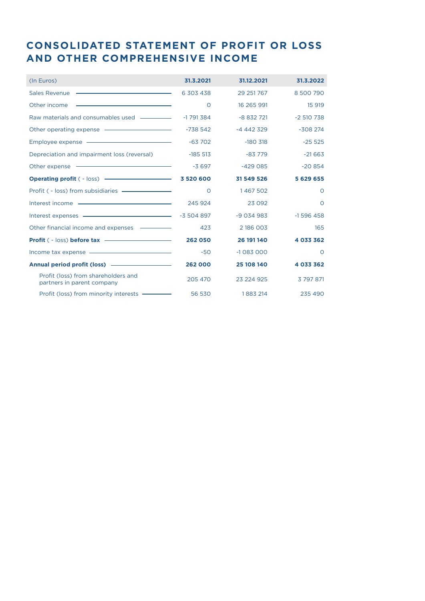### **CONSOLIDATED STATEMENT OF PROFIT OR LOSS AND OTHER COMPREHENSIVE INCOME**

| (In Euros)                                                                                                                                                                                                                                           | 31.3.2021  | 31.12.2021 | 31.3.2022  |
|------------------------------------------------------------------------------------------------------------------------------------------------------------------------------------------------------------------------------------------------------|------------|------------|------------|
| <u> 1989 - Andrea State Barbara, amerikan personal di personal dengan personal dengan personal dengan personal de</u><br>Sales Revenue                                                                                                               | 6 303 438  | 29 251 767 | 8 500 790  |
| Other income<br><u> 1989 - Johann Harry Harry Harry Harry Harry Harry Harry Harry Harry Harry Harry Harry Harry Harry Harry Harry Harry Harry Harry Harry Harry Harry Harry Harry Harry Harry Harry Harry Harry Harry Harry Harry Harry Harry Ha</u> | $\circ$    | 16 265 991 | 15 919     |
| Raw materials and consumables used ————————————————————                                                                                                                                                                                              | $-1791384$ | $-8832721$ | $-2510738$ |
|                                                                                                                                                                                                                                                      | $-738542$  | $-4442329$ | $-308274$  |
| Employee expense - The Constant of the Constant of the Constant of the Constant of the Constant of the Constant                                                                                                                                      | $-63702$   | $-180.318$ | $-25525$   |
| Depreciation and impairment loss (reversal)                                                                                                                                                                                                          | $-185513$  | $-83779$   | $-21663$   |
| Other expense <u>examples</u>                                                                                                                                                                                                                        | $-3697$    | $-429085$  | $-20854$   |
| Operating profit ( - loss) - 3520 600                                                                                                                                                                                                                |            | 31 549 526 | 5 629 655  |
|                                                                                                                                                                                                                                                      | $\circ$    | 1467502    | $\circ$    |
|                                                                                                                                                                                                                                                      | 245 924    | 23 0 9 2   | $\circ$    |
|                                                                                                                                                                                                                                                      |            | $-9034983$ | $-1596458$ |
|                                                                                                                                                                                                                                                      | 423        | 2 186 003  | 165        |
|                                                                                                                                                                                                                                                      | 262 050    | 26 191 140 | 4 033 362  |
|                                                                                                                                                                                                                                                      | $-50$      | $-1083000$ | $\Omega$   |
|                                                                                                                                                                                                                                                      | 262 000    | 25 108 140 | 4 033 362  |
| Profit (loss) from shareholders and<br>partners in parent company                                                                                                                                                                                    | 205 470    | 23 224 925 | 3 797 871  |
| Profit (loss) from minority interests - 56 530                                                                                                                                                                                                       |            | 1883 214   | 235 490    |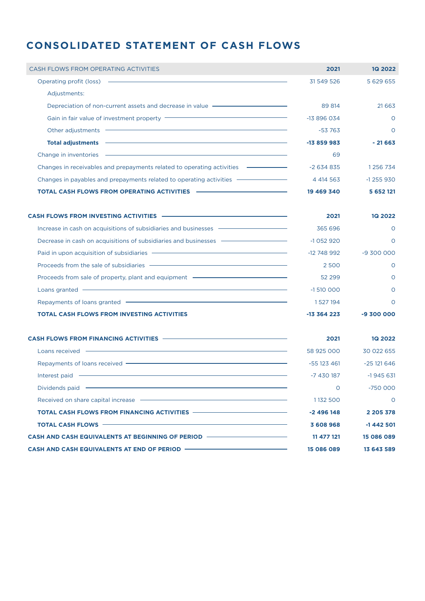#### **CONSOLIDATED STATEMENT OF CASH FLOWS**

| CASH FLOWS FROM OPERATING ACTIVITIES                                                                                                                                                                                                | 2021        | <b>1Q 2022</b> |
|-------------------------------------------------------------------------------------------------------------------------------------------------------------------------------------------------------------------------------------|-------------|----------------|
| Operating profit (loss)<br><u> 1989 - An Dùbhlachd an Dùbhlachd ann an Dùbhlachd ann an Dùbhlachd ann an Dùbhlachd ann an Dùbhlachd ann an Dù</u>                                                                                   | 31 549 526  | 5 629 655      |
| Adjustments:                                                                                                                                                                                                                        |             |                |
| Depreciation of non-current assets and decrease in value - The Manuscription of non-current assets and decrease in value                                                                                                            | 89 814      | 21 6 6 3       |
| Gain in fair value of investment property <b>CONSCRIPTION</b> CONSERVANCE OF A SAMPLE OF A SAMPLE OF A SAMPLE OF A SAMPLE OF A SAMPLE OF A SAMPLE OF A SAMPLE OF A SAMPLE OF A SAMPLE OF A SAMPLE OF A SAMPLE OF A SAMPLE OF A SAMP | $-13896034$ | $\circ$        |
| Other adjustments                                                                                                                                                                                                                   | $-53763$    | $\Omega$       |
| <b>Total adjustments</b>                                                                                                                                                                                                            | $-13859983$ | $-21663$       |
| Change in inventories                                                                                                                                                                                                               | 69          |                |
| Changes in receivables and prepayments related to operating activities                                                                                                                                                              | $-2634835$  | 1 256 734      |
| Changes in payables and prepayments related to operating activities —————————————                                                                                                                                                   | 4 4 4 5 6 3 | $-1$ 255 930   |
| <b>TOTAL CASH FLOWS FROM OPERATING ACTIVITIES</b>                                                                                                                                                                                   | 19 469 340  | 5 652 121      |

| CASH FLOWS FROM INVESTING ACTIVITIES ——————————————                                                                                                                                                                                  | 2021          | <b>1Q 2022</b> |
|--------------------------------------------------------------------------------------------------------------------------------------------------------------------------------------------------------------------------------------|---------------|----------------|
| Increase in cash on acquisitions of subsidiaries and businesses expression and the control of the state of the                                                                                                                       | 365 696       | $\Omega$       |
| Decrease in cash on acquisitions of subsidiaries and businesses <b>with a manufacture of the state of the state of the state of the state of the state of the state of the state of the state of the state of the state of the s</b> | $-1052920$    | $\circ$        |
| Paid in upon acquisition of subsidiaries <b>- All Accepts and Accepts</b> and Accepts and Accepts and Accepts and Accepts and Accepts and Accepts and Accepts and Accepts and Accepts and Accepts and Accepts and Accepts and Accep  | $-12748992$   | $-9,300,000$   |
| Proceeds from the sale of subsidiaries ————————————————————                                                                                                                                                                          | 2500          | $\Omega$       |
| Proceeds from sale of property, plant and equipment <b>example and report of the set of property</b>                                                                                                                                 | 52 299        | $\Omega$       |
| ,我们也不能在这里的时候,我们也不能在这里的时候,我们也不能会在这里的时候,我们也不能会在这里的时候,我们也不能会在这里的时候,我们也不能会在这里的时候,我们也<br>Loans granted -                                                                                                                                  | $-1,510,000$  | $\Omega$       |
| Repayments of loans granted                                                                                                                                                                                                          | 1527194       | $\Omega$       |
| <b>TOTAL CASH FLOWS FROM INVESTING ACTIVITIES</b>                                                                                                                                                                                    | $-13,364,223$ | -9 300 000     |

| CASH FLOWS FROM FINANCING ACTIVITIES —————————————————————                                                                                                                                                                           | 2021        | <b>1Q 2022</b> |
|--------------------------------------------------------------------------------------------------------------------------------------------------------------------------------------------------------------------------------------|-------------|----------------|
| Loans received <b>- Example 2018</b> The Company of the Company of the Company of the Company of the Company of the Company of the Company of the Company of the Company of the Company of the Company of the Company of the Compan  | 58 925 000  | 30 022 655     |
| Repayments of loans received - The Commission of Lagrange and Sepayments of loans received - The Commission of                                                                                                                       | $-55123461$ | $-25121646$    |
| Interest paid <b>contract and contract the contract of the contract of the contract of the contract of the contract of the contract of the contract of the contract of the contract of the contract of the contract of the contr</b> | -7 430 187  | $-1945631$     |
| Dividends paid <b>contract and contract and contract of the contract of the contract of the contract of the contract of the contract of the contract of the contract of the contract of the contract of the contract of the cont</b> | O           | $-750000$      |
|                                                                                                                                                                                                                                      | 1132 500    | $\circ$        |
| TOTAL CASH FLOWS FROM FINANCING ACTIVITIES ————————————————                                                                                                                                                                          | $-2496148$  | 2 2 0 5 3 7 8  |
|                                                                                                                                                                                                                                      | 3608968     | $-1442501$     |
| CASH AND CASH EQUIVALENTS AT BEGINNING OF PERIOD - THE CASH AND CASH EQUIVALENTS AT BEGINNING OF PERIOD                                                                                                                              | 11 477 121  | 15 086 089     |
| CASH AND CASH EQUIVALENTS AT END OF PERIOD - THE CASH AND CASH EQUIVALENTS AT END OF PERIOD                                                                                                                                          | 15 086 089  | 13 643 589     |